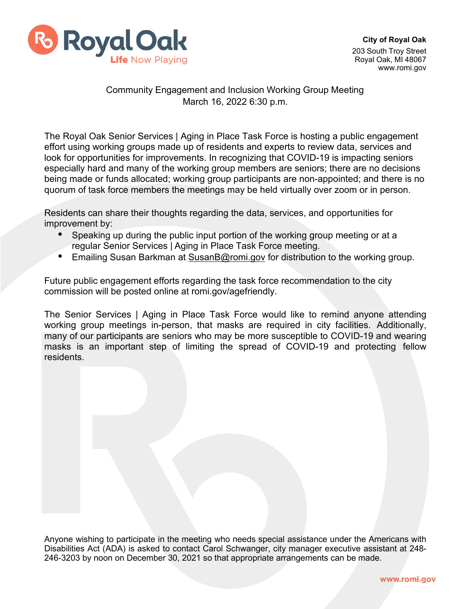

## Community Engagement and Inclusion Working Group Meeting March 16, 2022 6:30 p.m.

The Royal Oak Senior Services | Aging in Place Task Force is hosting a public engagement effort using working groups made up of residents and experts to review data, services and look for opportunities for improvements. In recognizing that COVID-19 is impacting seniors especially hard and many of the working group members are seniors; there are no decisions being made or funds allocated; working group participants are non-appointed; and there is no quorum of task force members the meetings may be held virtually over zoom or in person.

Residents can share their thoughts regarding the data, services, and opportunities for improvement by:

- Speaking up during the public input portion of the working group meeting or at a regular Senior Services | Aging in Place Task Force meeting.
- Emailing Susan Barkman at [SusanB@romi.gov](mailto:SusanB@romi.gov) for distribution to the working group.

Future public engagement efforts regarding the task force recommendation to the city commission will be posted online at romi.gov/agefriendly.

The Senior Services | Aging in Place Task Force would like to remind anyone attending working group meetings in-person, that masks are required in city facilities. Additionally, many of our participants are seniors who may be more susceptible to COVID-19 and wearing masks is an important step of limiting the spread of COVID-19 and protecting fellow residents.

Anyone wishing to participate in the meeting who needs special assistance under the Americans with Disabilities Act (ADA) is asked to contact Carol Schwanger, city manager executive assistant at 248- 246-3203 by noon on December 30, 2021 so that appropriate arrangements can be made.